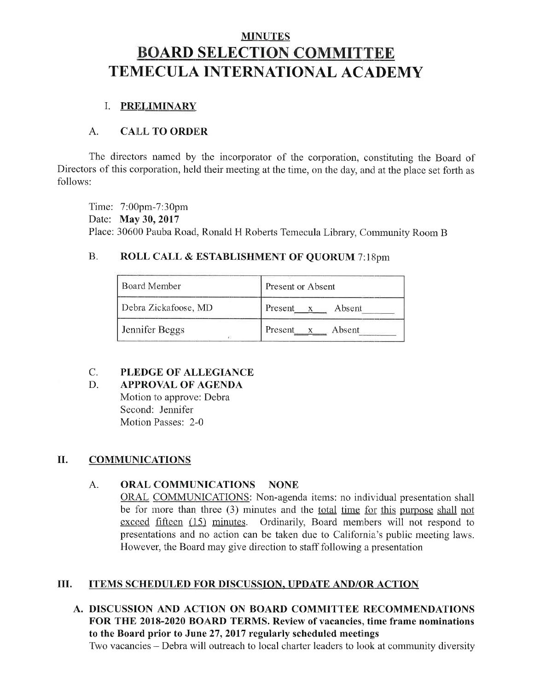# **MINUTES BOARD SELECTION COMMITTEE TEMECULA INTERNATIONAL ACADEMY**

## **I. PRELIMINARY**

#### $\overline{A}$ . **CALL TO ORDER**

The directors named by the incorporator of the corporation, constituting the Board of Directors of this corporation, held their meeting at the time, on the day, and at the place set forth as follows:

Time: 7:00pm-7:30pm Date: May 30, 2017 Place: 30600 Pauba Road, Ronald H Roberts Temecula Library, Community Room B

#### $B.$ ROLL CALL & ESTABLISHMENT OF QUORUM 7:18pm

| Board Member         | <b>Present or Absent</b>          |
|----------------------|-----------------------------------|
| Debra Zickafoose, MD | Present<br>Absent<br>$\mathbf{x}$ |
| Jennifer Beggs       | Present x Absent                  |

#### $C_{\cdot}$ PLEDGE OF ALLEGIANCE

#### D. **APPROVAL OF AGENDA**

Motion to approve: Debra Second: Jennifer Motion Passes: 2-0

#### II. **COMMUNICATIONS**

#### A. ORAL COMMUNICATIONS NONE

**ORAL COMMUNICATIONS:** Non-agenda items: no individual presentation shall be for more than three (3) minutes and the <u>total time for this purpose shall not</u> exceed fifteen (15) minutes. Ordinarily, Board members will not respond to presentations and no action can be taken due to California's public meeting laws. However, the Board may give direction to staff following a presentation

#### Ш. **ITEMS SCHEDULED FOR DISCUSSION, UPDATE AND/OR ACTION**

A. DISCUSSION AND ACTION ON BOARD COMMITTEE RECOMMENDATIONS FOR THE 2018-2020 BOARD TERMS. Review of vacancies, time frame nominations to the Board prior to June 27, 2017 regularly scheduled meetings Two vacancies – Debra will outreach to local charter leaders to look at community diversity